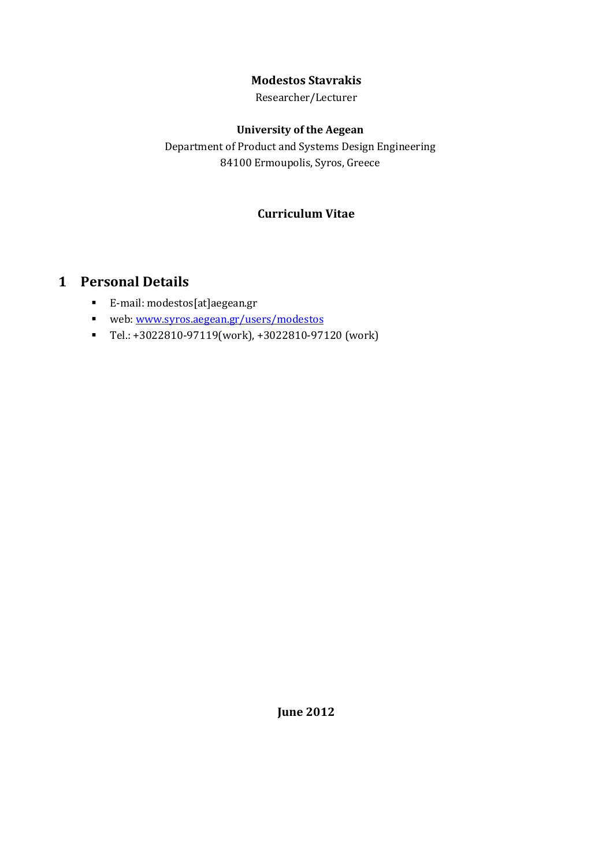## **Modestos Stavrakis**

Researcher/Lecturer

### **University of the Aegean**

Department of Product and Systems Design Engineering 84100 Ermoupolis, Syros, Greece

## **Curriculum Vitae**

# <span id="page-0-0"></span>**1 Personal Details**

- E-mail: modestos[at]aegean.gr
- web: [www.syros.aegean.gr/users/modestos](http://www.syros.aegean.gr/users/modestos)
- Tel.: +3022810-97119(work), +3022810-97120 (work)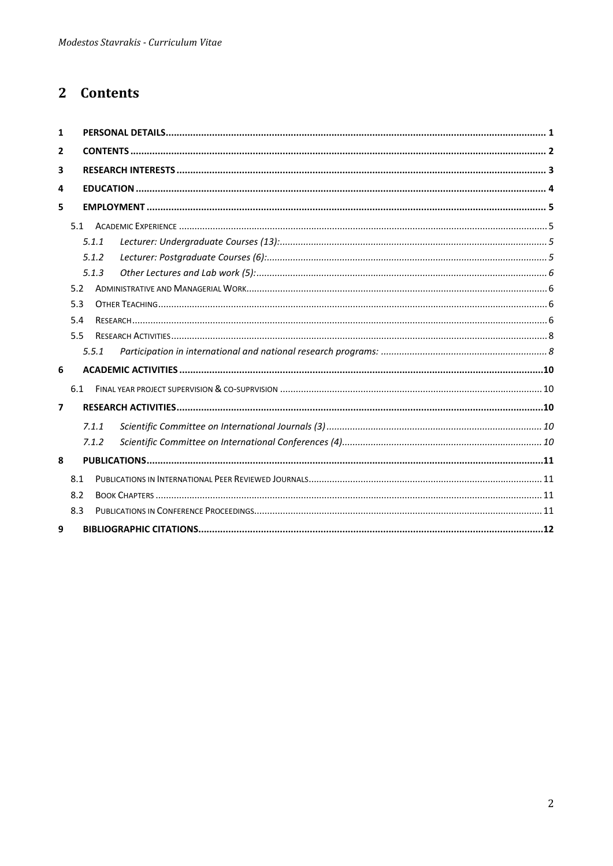# <span id="page-1-0"></span>2 Contents

| 1                       |     |       |  |  |
|-------------------------|-----|-------|--|--|
| $\overline{2}$          |     |       |  |  |
| 3                       |     |       |  |  |
| 4                       |     |       |  |  |
| 5                       |     |       |  |  |
| 5.1                     |     |       |  |  |
|                         |     | 5.1.1 |  |  |
|                         |     | 5.1.2 |  |  |
|                         |     | 5.1.3 |  |  |
|                         | 5.2 |       |  |  |
| 5.3                     |     |       |  |  |
|                         | 5.4 |       |  |  |
|                         | 5.5 |       |  |  |
|                         |     | 5.5.1 |  |  |
| 6                       |     |       |  |  |
|                         | 6.1 |       |  |  |
| $\overline{\mathbf{z}}$ |     |       |  |  |
|                         |     | 7.1.1 |  |  |
|                         |     | 7.1.2 |  |  |
| 8                       |     |       |  |  |
|                         | 8.1 |       |  |  |
|                         | 8.2 |       |  |  |
|                         | 8.3 |       |  |  |
| 9                       |     |       |  |  |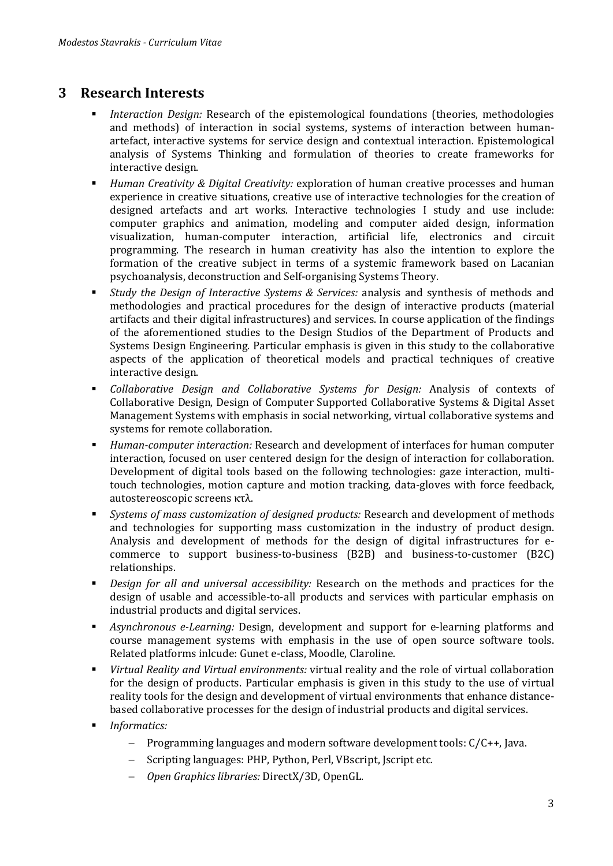## <span id="page-2-0"></span>**3 Research Interests**

- *Interaction Design:* Research of the epistemological foundations (theories, methodologies and methods) of interaction in social systems, systems of interaction between humanartefact, interactive systems for service design and contextual interaction. Epistemological analysis of Systems Thinking and formulation of theories to create frameworks for interactive design.
- *Human Creativity & Digital Creativity:* exploration of human creative processes and human experience in creative situations, creative use of interactive technologies for the creation of designed artefacts and art works. Interactive technologies I study and use include: computer graphics and animation, modeling and computer aided design, information visualization, human-computer interaction, artificial life, electronics and circuit programming. The research in human creativity has also the intention to explore the formation of the creative subject in terms of a systemic framework based on Lacanian psychoanalysis, deconstruction and Self-organising Systems Theory.
- *Study the Design of Interactive Systems & Services:* analysis and synthesis of methods and methodologies and practical procedures for the design of interactive products (material artifacts and their digital infrastructures) and services. In course application of the findings of the aforementioned studies to the Design Studios of the Department of Products and Systems Design Engineering. Particular emphasis is given in this study to the collaborative aspects of the application of theoretical models and practical techniques of creative interactive design.
- *Collaborative Design and Collaborative Systems for Design:* Analysis of contexts of Collaborative Design, Design of Computer Supported Collaborative Systems & Digital Asset Management Systems with emphasis in social networking, virtual collaborative systems and systems for remote collaboration.
- *Human-computer interaction:* Research and development of interfaces for human computer interaction, focused on user centered design for the design of interaction for collaboration. Development of digital tools based on the following technologies: gaze interaction, multitouch technologies, motion capture and motion tracking, data-gloves with force feedback, autostereoscopic screens κτλ.
- *Systems of mass customization of designed products:* Research and development of methods and technologies for supporting mass customization in the industry of product design. Analysis and development of methods for the design of digital infrastructures for ecommerce to support business-to-business (B2B) and business-to-customer (B2C) relationships.
- *Design for all and universal accessibility:* Research on the methods and practices for the design of usable and accessible-to-all products and services with particular emphasis on industrial products and digital services.
- *Asynchronous e-Learning:* Design, development and support for e-learning platforms and course management systems with emphasis in the use of open source software tools. Related platforms inlcude: Gunet e-class, Moodle, Claroline.
- *Virtual Reality and Virtual environments:* virtual reality and the role of virtual collaboration for the design of products. Particular emphasis is given in this study to the use of virtual reality tools for the design and development of virtual environments that enhance distancebased collaborative processes for the design of industrial products and digital services.
- *Informatics:*
	- − Programming languages and modern software development tools: C/C++, Java.
	- − Scripting languages: PHP, Python, Perl, VBscript, Jscript etc.
	- − *Open Graphics libraries:* DirectX/3D, OpenGL.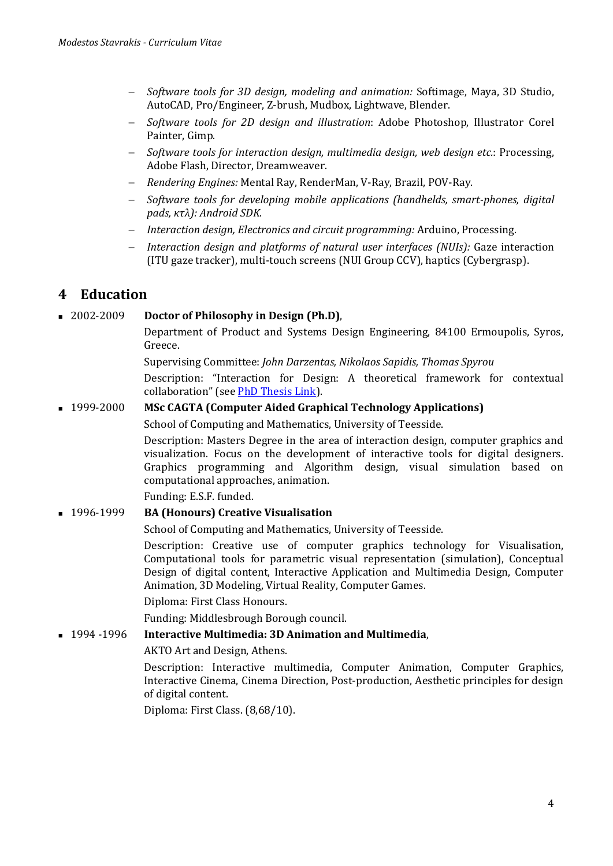- − *Software tools for 3D design, modeling and animation:* Softimage, Maya, 3D Studio, AutoCAD, Pro/Engineer, Z-brush, Mudbox, Lightwave, Blender.
- − *Software tools for 2D design and illustration*: Adobe Photoshop, Illustrator Corel Painter, Gimp.
- − *Software tools for interaction design, multimedia design, web design etc.*: Processing, Adobe Flash, Director, Dreamweaver.
- − *Rendering Engines:* Mental Ray, RenderMan, V-Ray, Brazil, POV-Ray.
- − *Software tools for developing mobile applications (handhelds, smart-phones, digital pads, κτλ): Android SDK.*
- − *Interaction design, Electronics and circuit programming:* Arduino, Processing.
- − *Interaction design and platforms of natural user interfaces (NUIs):* Gaze interaction (ITU gaze tracker), multi-touch screens (NUI Group CCV), haptics (Cybergrasp).

## <span id="page-3-0"></span>**4 Education**

#### 2002-2009 **Doctor of Philosophy in Design (Ph.D)**,

Department of Product and Systems Design Engineering, 84100 Ermoupolis, Syros, Greece.

Supervising Committee: *John Darzentas, Nikolaos Sapidis, Thomas Spyrou*

Description: "Interaction for Design: A theoretical framework for contextual collaboration" (see [PhD Thesis Link\)](http://xylem.aegean.gr/~modestos/mo.blog/?p=1612).

#### 1999-2000 **MSc CAGTA (Computer Aided Graphical Technology Applications)**

School of Computing and Mathematics, University of Teesside.

Description: Masters Degree in the area of interaction design, computer graphics and visualization. Focus on the development of interactive tools for digital designers. Graphics programming and Algorithm design, visual simulation based on computational approaches, animation.

Funding: E.S.F. funded.

#### 1996-1999 **BA (Honours) Creative Visualisation**

School of Computing and Mathematics, University of Teesside.

Description: Creative use of computer graphics technology for Visualisation, Computational tools for parametric visual representation (simulation), Conceptual Design of digital content, Interactive Application and Multimedia Design, Computer Animation, 3D Modeling, Virtual Reality, Computer Games.

Diploma: First Class Honours.

Funding: Middlesbrough Borough council.

#### 1994 -1996 **Interactive Multimedia: 3D Animation and Multimedia**,

AKTO Art and Design, Athens.

Description: Interactive multimedia, Computer Animation, Computer Graphics, Interactive Cinema, Cinema Direction, Post-production, Aesthetic principles for design of digital content.

Diploma: First Class. (8,68/10).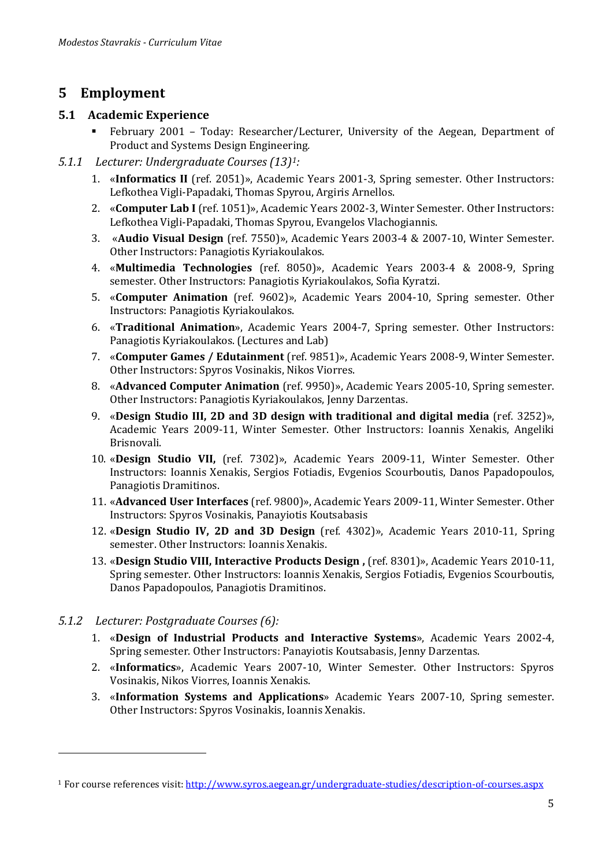# <span id="page-4-0"></span>**5 Employment**

### <span id="page-4-1"></span>**5.1 Academic Experience**

- February 2001 Today: Researcher/Lecturer, University of the Aegean, Department of Product and Systems Design Engineering*.*
- <span id="page-4-2"></span>*5.1.1 Lecturer: Undergraduate Courses (13)[1](#page-4-4) :*
	- 1. «**Informatics ΙΙ** (ref. 2051)», Academic Years 2001-3, Spring semester. Other Instructors: Lefkothea Vigli-Papadaki, Thomas Spyrou, Argiris Arnellos.
	- 2. «**Computer Lab Ι** (ref. 1051)», Academic Years 2002-3, Winter Semester. Other Instructors: Lefkothea Vigli-Papadaki, Thomas Spyrou, Evangelos Vlachogiannis.
	- 3. «**Audio Visual Design** (ref. 7550)», Academic Years 2003-4 & 2007-10, Winter Semester. Other Instructors: Panagiotis Kyriakoulakos.
	- 4. «**Multimedia Technologies** (ref. 8050)», Academic Years 2003-4 & 2008-9, Spring semester. Other Instructors: Panagiotis Kyriakoulakos, Sofia Kyratzi.
	- 5. «**Computer Animation** (ref. 9602)», Academic Years 2004-10, Spring semester. Other Instructors: Panagiotis Kyriakoulakos.
	- 6. «**Traditional Animation**», Academic Years 2004-7, Spring semester. Other Instructors: Panagiotis Kyriakoulakos. (Lectures and Lab)
	- 7. «**Computer Games / Edutainment** (ref. 9851)», Academic Years 2008-9, Winter Semester. Other Instructors: Spyros Vosinakis, Nikos Viorres.
	- 8. «**Advanced Computer Animation** (ref. 9950)», Academic Years 2005-10, Spring semester. Other Instructors: Panagiotis Kyriakoulakos, Jenny Darzentas.
	- 9. «**Design Studio ΙΙΙ, 2D and 3D design with traditional and digital media** (ref. 3252)», Academic Years 2009-11, Winter Semester. Other Instructors: Ioannis Xenakis, Angeliki Brisnovali.
	- 10. «**Design Studio VΙΙ,** (ref. 7302)», Academic Years 2009-11, Winter Semester. Other Instructors: Ioannis Xenakis, Sergios Fotiadis, Evgenios Scourboutis, Danos Papadopoulos, Panagiotis Dramitinos.
	- 11. «**Advanced User Interfaces** (ref. 9800)», Academic Years 2009-11, Winter Semester. Other Instructors: Spyros Vosinakis, Panayiotis Koutsabasis
	- 12. «**Design Studio ΙV, 2D and 3D Design** (ref. 4302)», Academic Years 2010-11, Spring semester. Other Instructors: Ioannis Xenakis.
	- 13. «**Design Studio VIΙΙ, Interactive Products Design ,** (ref. 8301)», Academic Years 2010-11, Spring semester. Other Instructors: Ioannis Xenakis, Sergios Fotiadis, Evgenios Scourboutis, Danos Papadopoulos, Panagiotis Dramitinos.
- <span id="page-4-3"></span>*5.1.2 Lecturer: Postgraduate Courses (6):*

j

- 1. «**Design of Industrial Products and Interactive Systems**», Academic Years 2002-4, Spring semester. Other Instructors: Panayiotis Koutsabasis, Jenny Darzentas.
- 2. «**Informatics**», Academic Years 2007-10, Winter Semester. Other Instructors: Spyros Vosinakis, Nikos Viorres, Ioannis Xenakis.
- 3. «**Information Systems and Applications**» Academic Years 2007-10, Spring semester. Other Instructors: Spyros Vosinakis, Ioannis Xenakis.

<span id="page-4-4"></span><sup>1</sup> For course references visit[: http://www.syros.aegean.gr/undergraduate-studies/description-of-courses.aspx](http://www.syros.aegean.gr/undergraduate-studies/description-of-courses.aspx)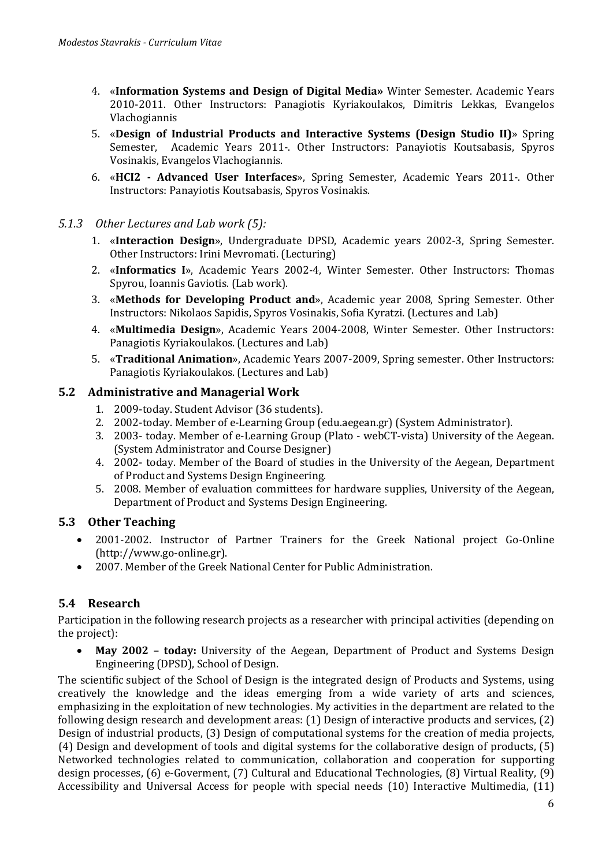- 4. «**Information Systems and Design of Digital Media»** Winter Semester. Academic Years 2010-2011. Other Instructors: Panagiotis Kyriakoulakos, Dimitris Lekkas, Evangelos Vlachogiannis
- 5. «**Design of Industrial Products and Interactive Systems (Design Studio II)**» Spring Semester, Academic Years 2011-. Other Instructors: Panayiotis Koutsabasis, Spyros Vosinakis, Evangelos Vlachogiannis.
- 6. «**HCI2 - Advanced User Interfaces**», Spring Semester, Academic Years 2011-. Other Instructors: Panayiotis Koutsabasis, Spyros Vosinakis.

#### <span id="page-5-0"></span>*5.1.3 Other Lectures and Lab work (5):*

- 1. «**Interaction Design**», Undergraduate DPSD, Academic years 2002-3, Spring Semester. Other Instructors: Irini Mevromati. (Lecturing)
- 2. «**Informatics I**», Academic Years 2002-4, Winter Semester. Other Instructors: Thomas Spyrou, Ioannis Gaviotis. (Lab work).
- 3. «**Methods for Developing Product and**», Academic year 2008, Spring Semester. Other Instructors: Nikolaos Sapidis, Spyros Vosinakis, Sofia Kyratzi. (Lectures and Lab)
- 4. «**Multimedia Design**», Academic Years 2004-2008, Winter Semester. Other Instructors: Panagiotis Kyriakoulakos. (Lectures and Lab)
- 5. «**Traditional Animation**», Academic Years 2007-2009, Spring semester. Other Instructors: Panagiotis Kyriakoulakos. (Lectures and Lab)

#### <span id="page-5-1"></span>**5.2 Administrative and Managerial Work**

- 1. 2009-today. Student Advisor (36 students).
- 2. 2002-today. Member of e-Learning Group (edu.aegean.gr) (System Administrator).
- 3. 2003- today. Member of e-Learning Group (Plato webCT-vista) University of the Aegean. (System Administrator and Course Designer)
- 4. 2002- today. Member of the Board of studies in the University of the Aegean, Department of Product and Systems Design Engineering.
- 5. 2008. Member of evaluation committees for hardware supplies, University of the Aegean, Department of Product and Systems Design Engineering.

### <span id="page-5-2"></span>**5.3 Other Teaching**

- 2001-2002. Instructor of Partner Trainers for the Greek National project Go-Online (http://www.go-online.gr).
- 2007. Member of the Greek National Center for Public Administration.

## <span id="page-5-3"></span>**5.4 Research**

Participation in the following research projects as a researcher with principal activities (depending on the project):

• **May 2002 – today:** University of the Aegean, Department of Product and Systems Design Engineering (DPSD), School of Design.

The scientific subject of the School of Design is the integrated design of Products and Systems, using creatively the knowledge and the ideas emerging from a wide variety of arts and sciences, emphasizing in the exploitation of new technologies. My activities in the department are related to the following design research and development areas: (1) Design of interactive products and services, (2) Design of industrial products, (3) Design of computational systems for the creation of media projects, (4) Design and development of tools and digital systems for the collaborative design of products, (5) Networked technologies related to communication, collaboration and cooperation for supporting design processes, (6) e-Goverment, (7) Cultural and Educational Technologies, (8) Virtual Reality, (9) Accessibility and Universal Access for people with special needs (10) Interactive Multimedia, (11)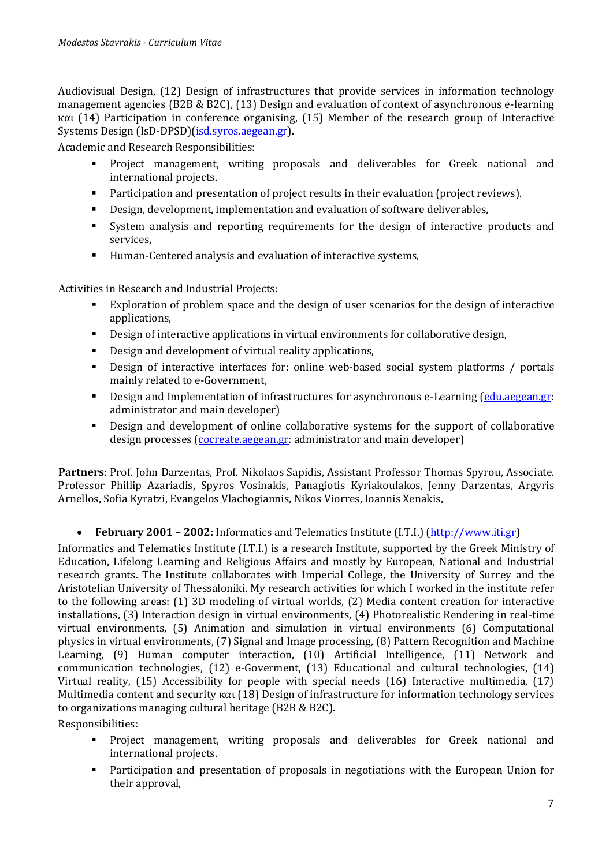Audiovisual Design, (12) Design of infrastructures that provide services in information technology management agencies (Β2Β & Β2C), (13) Design and evaluation of context of asynchronous e-learning και (14) Participation in conference organising, (15) Member of the research group of Interactive Systems Design (IsD-DPSD)[\(isd.syros.aegean.gr\)](http://isd.syros.aegean.gr/).

Academic and Research Responsibilities:

- Project management, writing proposals and deliverables for Greek national and international projects .
- Participation and presentation of project results in their evaluation (project reviews).
- Design, development, implementation and evaluation of software deliverables ,
- System analysis and reporting requirements for the design of interactive products and services ,
- Human-Centered analysis and evaluation of interactive systems,

Activities in Research and Industrial Projects :

- Exploration of problem space and the design of user scenarios for the design of interactive applications,
- Design of interactive applications in virtual environments for collaborative design,
- Design and development of virtual reality applications,
- Design of interactive interfaces for: online web-based social system platforms / portals mainly related to e-Government,
- Design and Implementation of infrastructures for asynchronous e-Learning [\(edu.aegean.gr:](http://edu.aegean.gr/) administrator and main developer)
- Design and development of online collaborative systems for the support of collaborative design processes [\(cocreate.aegean.gr:](http://cocreate.aegean.gr/) administrator and main developer)

**Partners**: Prof. John Darzentas, Prof. Nikolaos Sapidis, Assistant Professor Thomas Spyrou, Associate. Professor Phillip Azariadis, Spyros Vosinakis, Panagiotis Kyriakoulakos, Jenny Darzentas, Argyris Arnellos, Sofia Kyratzi, Evangelos Vlachogiannis, Nikos Viorres, Ioannis Xenakis,

• **February 2001 – 2002:** Informatics and Telematics Institute (I.T.I.) [\(http://www.iti.gr\)](http://www.iti.gr/)

Informatics and Telematics Institute (I.T.I.) is a research Institute, supported by the Greek Ministry of Education, Lifelong Learning and Religious Affairs and mostly by European, National and Industrial research grants. The Institute collaborates with Imperial College, the University of Surrey and the Aristotelian University of Thessaloniki. My research activities for which I worked in the institute refer to the following areas: (1) 3D modeling of virtual worlds, (2) Media content creation for interactive installations, (3) Interaction design in virtual environments, (4) Photorealistic Rendering in real-time virtual environments, (5) Animation and simulation in virtual environments (6) Computational physics in virtual environments, (7) Signal and Image processing, (8) Pattern Recognition and Machine Learning, (9) Human computer interaction, (10) Artificial Intelligence, (11) Network and communication technologies, (12) e-Goverment, (13) Educational and cultural technologies, (14) Virtual reality, (15) Accessibility for people with special needs (16) Interactive multimedia, (17) Multimedia content and security και (18) Design of infrastructure for information technology services to organizations managing cultural heritage (Β2Β & Β2C).

Responsibilities:

- Project management, writing proposals and deliverables for Greek national and international projects .
- Participation and presentation of proposals in negotiations with the European Union for their approval,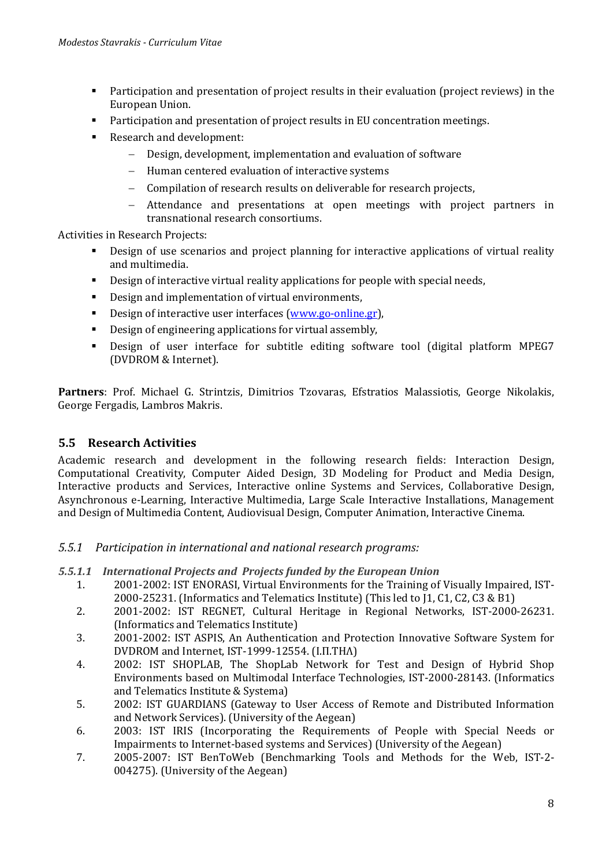- Participation and presentation of project results in their evaluation (project reviews) in the European Union.
- Participation and presentation of project results in EU concentration meetings.
- Research and development:
	- − Design, development, implementation and evaluation of software
	- − Human centered evaluation of interactive systems
	- − Compilation of research results on deliverable for research projects,
	- − Attendance and presentations at open meetings with project partners in transnational research consortiums.

Activities in Research Projects:

- **•** Design of use scenarios and project planning for interactive applications of virtual reality and multimedia .
- Design of interactive virtual reality applications for people with special needs ,
- Design and implementation of virtual environments,
- Design of interactive user interfaces [\(www.go-online.gr\)](http://www.go-online.gr/).
- Design of engineering applications for virtual assembly,
- Design of user interface for subtitle editing software tool (digital platform MPEG7 (DVDROM & Internet).

**Partners**: Prof. Michael G. Strintzis, Dimitrios Tzovaras, Efstratios Malassiotis, George Nikolakis, George Fergadis, Lambros Makris.

### <span id="page-7-0"></span>**5.5 Research Activities**

Academic research and development in the following research fields: Interaction Design, Computational Creativity, Computer Aided Design, 3D Modeling for Product and Media Design, Interactive products and Services, Interactive online Systems and Services, Collaborative Design, Asynchronous e-Learning, Interactive Multimedia, Large Scale Interactive Installations, Management and Design of Multimedia Content, Audiovisual Design, Computer Animation, Interactive Cinema.

#### <span id="page-7-1"></span>*5.5.1 Participation in international and national research programs:*

- *5.5.1.1 International Projects and Projects funded by the European Union*
	- 1. 2001-2002: IST ENORASI, Virtual Environments for the Training of Visually Impaired, IST-2000-25231. (Informatics and Telematics Institute) (This led to J1, C1, C2, C3 & B1)
	- 2. 2001-2002: IST REGNET, Cultural Heritage in Regional Networks, IST-2000-26231. (Informatics and Telematics Institute)
	- 3. 2001-2002: IST ASPIS, An Authentication and Protection Innovative Software System for DVDROM and Internet, IST-1999-12554. (Ι.Π.ΤΗΛ)
	- 4. 2002: IST SHOPLAB, The ShopLab Network for Test and Design of Hybrid Shop Environments based on Multimodal Interface Technologies, IST-2000-28143. (Informatics and Telematics Institute & Systema)
	- 5. 2002: IST GUARDIANS (Gateway to User Access of Remote and Distributed Information and Network Services). (University of the Aegean)
	- 6. 2003: IST IRIS (Incorporating the Requirements of People with Special Needs or Impairments to Internet-based systems and Services) (University of the Aegean)
	- 7. 2005-2007: IST BenToWeb (Benchmarking Tools and Methods for the Web, IST-2- 004275). (University of the Aegean)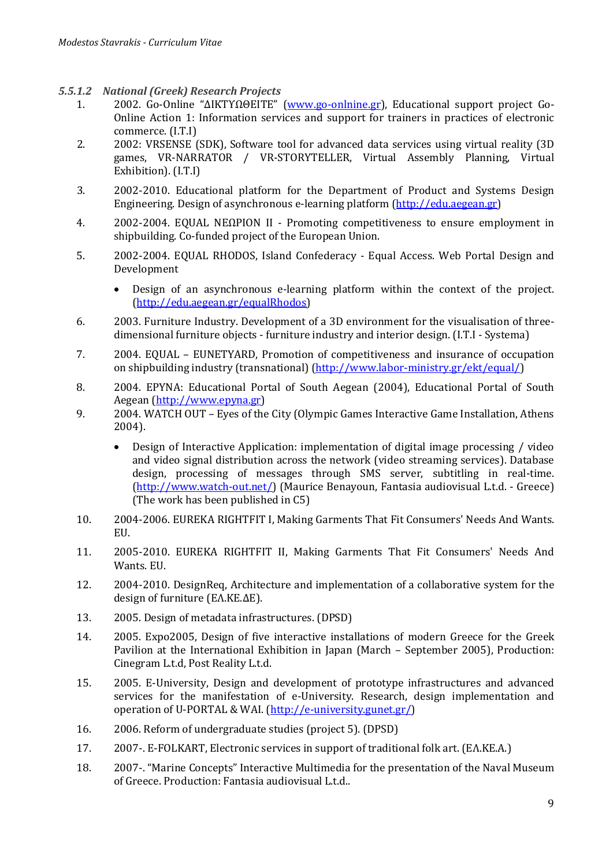- *5.5.1.2 National (Greek) Research Projects*
	- 1. 2002. Go-Online "ΔΙΚΤΥΩΘΕΙΤΕ" [\(www.go-onlnine.gr\)](http://www.go-onlnine.gr/), Educational support project Go-Online Action 1: Information services and support for trainers in practices of electronic commerce. (I.T.I)
	- 2. 2002: VRSENSE (SDK), Software tool for advanced data services using virtual reality (3D games, VR-NARRATOR / VR-STORYTELLER, Virtual Assembly Planning, Virtual Exhibition). (I.T.I)
	- 3. 2002-2010. Educational platform for the Department of Product and Systems Design Engineering. Design of asynchronous e-learning platform (<u>http://edu.aegean.gr</u>)
	- 4. 2002-2004. EQUAL ΝΕΩΡΙΟΝ ΙΙ Promoting competitiveness to ensure employment in shipbuilding. Co-funded project of the European Union .
	- 5. 2002-2004. EQUAL RHODOS, Island Confederacy Equal Access. Web Portal Design and Development
		- Design of an asynchronous e-learning platform within the context of the project. [\(http://edu.aegean.gr/equalRhodos\)](http://edu.aegean.gr/equalRhodos)
	- 6. 2003. Furniture Industry. Development of a 3D environment for the visualisation of threedimensional furniture objects - furniture industry and interior design. (I.T.I - Systema)
	- 7. 2004. EQUAL EUNETYARD, Promotion of competitiveness and insurance of occupation on shipbuilding industry (transnational) (<u>http://www.labor-ministry.gr/ekt/equal/</u>)
	- 8. 2004. EPYNA: Educational Portal of South Aegean (2004), Educational Portal of South Aegean [\(http://www.epyna.gr\)](http://www.epyna.gr/)
	- 9. 2004. WATCH OUT Eyes of the City (Olympic Games Interactive Game Installation, Athens 2004).
		- Design of Interactive Application: implementation of digital image processing / video and video signal distribution across the network (video streaming services). Database design, processing of messages through SMS server, subtitling in real-time. [\(http://www.watch-out.net/\)](http://www.watch-out.net/) (Maurice Benayoun, Fantasia audiovisual L.t.d. - Greece) (The work has been published in C5)
	- 10. 2004-2006. EUREKA RIGHTFIT Ι, Making Garments That Fit Consumers' Needs And Wants. EU.
	- 11. 2005-2010. EUREKA RIGHTFIT ΙΙ, Making Garments That Fit Consumers' Needs And Wants. EU.
	- 12. 2004-2010. DesignReq, Architecture and implementation of a collaborative system for the design of furniture (ΕΛ.ΚΕ.ΔΕ).
	- 13. 2005. Design of metadata infrastructures. (DPSD)
	- 14. 2005. Expo2005, Design of five interactive installations of modern Greece for the Greek Pavilion at the International Exhibition in Japan (March – September 2005), Production: Cinegram L.t.d, Post Reality L.t.d.
	- 15. 2005. E-University, Design and development of prototype infrastructures and advanced services for the manifestation of e-University. Research, design implementation and operation of U-PORTAL & WAI. <u>(http://e-university.gunet.gr/</u>)
	- 16. 2006. Reform of undergraduate studies (project 5). (DPSD)
	- 17. 2007-. E-FOLKART, Electronic services in support of traditional folk art . (ΕΛ.ΚΕ.Α.)
	- 18. 2007-. "Marine Concepts" Interactive Multimedia for the presentation of the Naval Museum of Greece. Production: Fantasia audiovisual L.t.d..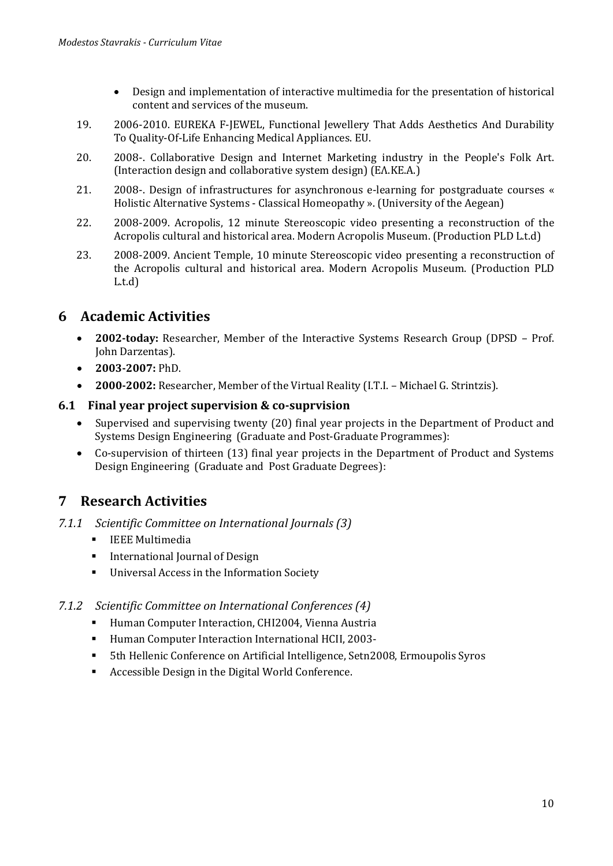- Design and implementation of interactive multimedia for the presentation of historical content and services of the museum .
- 19. 2006-2010. EUREKA F-JEWEL, Functional Jewellery That Adds Aesthetics And Durability To Quality-Of-Life Enhancing Medical Appliances. EU.
- 20. 2008-. Collaborative Design and Internet Marketing industry in the People's Folk Art . (Interaction design and collaborative system design) (ΕΛ.ΚΕ.Α.)
- 21. 2008-. Design of infrastructures for asynchronous e-learning for postgraduate courses « Holistic Alternative Systems - Classical Homeopathy ». (University of the Aegean)
- 22. 2008-2009. Acropolis, 12 minute Stereoscopic video presenting a reconstruction of the Acropolis cultural and historical area. Modern Acropolis Museum . (Production PLD L.t.d)
- 23. 2008-2009. Ancient Temple, 10 minute Stereoscopic video presenting a reconstruction of the Acropolis cultural and historical area. Modern Acropolis Museum. (Production PLD L.t.d)

# <span id="page-9-0"></span>**6 Academic Activities**

- **2002-today:** Researcher, Member of the Interactive Systems Research Group (DPSD Prof. John Darzentas).
- **2003-2007:** PhD.
- **2000-2002:** Researcher, Member of the Virtual Reality (I.T.I. Michael G. Strintzis).

### <span id="page-9-1"></span>**6.1 Final year project supervision & co-suprvision**

- Supervised and supervising twenty (20) final year projects in the Department of Product and Systems Design Engineering (Graduate and Post-Graduate Programmes):
- Co-supervision of thirteen (13) final year projects in the Department of Product and Systems Design Engineering (Graduate and Post Graduate Degrees):

## <span id="page-9-2"></span>**7 Research Activities**

- <span id="page-9-3"></span>*7.1.1 Scientific Committee on International Journals (3)*
	- **ELEE Multimedia**
	- **International Journal of Design**
	- Universal Access in the Information Society

### <span id="page-9-4"></span>*7.1.2 Scientific Committee on International Conferences (4)*

- **EXTERNALE THE** Human Computer Interaction, CHI2004, Vienna Austria
- Human Computer Interaction International HCII, 2003-
- 5th Hellenic Conference on Artificial Intelligence, Setn2008, Ermoupolis Syros
- Accessible Design in the Digital World Conference.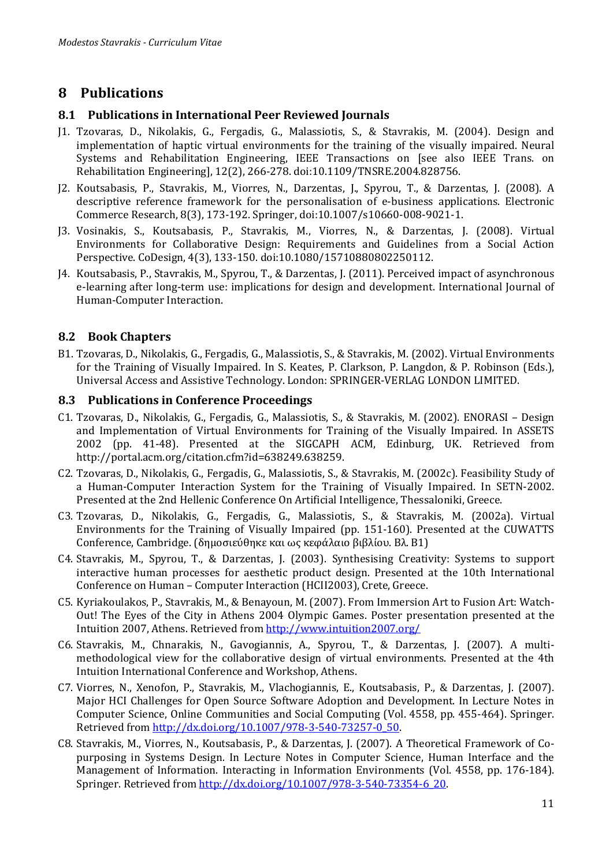# <span id="page-10-0"></span>**8 Publications**

#### <span id="page-10-1"></span>**8.1 Publications in International Peer Reviewed Journals**

- J1. Tzovaras, D., Nikolakis, G., Fergadis, G., Malassiotis, S., & Stavrakis, M. (2004). Design and implementation of haptic virtual environments for the training of the visually impaired. Neural Systems and Rehabilitation Engineering, IEEE Transactions on [see also IEEE Trans. on Rehabilitation Engineering], 12(2), 266-278. doi:10.1109/TNSRE.2004.828756.
- J2. Koutsabasis, P., Stavrakis, M., Viorres, N., Darzentas, J., Spyrou, T., & Darzentas, J. (2008). A descriptive reference framework for the personalisation of e-business applications. Electronic Commerce Research, 8(3), 173-192. Springer, doi:10.1007/s10660-008-9021-1.
- J3. Vosinakis, S., Koutsabasis, P., Stavrakis, M., Viorres, N., & Darzentas, J. (2008). Virtual Environments for Collaborative Design: Requirements and Guidelines from a Social Action Perspective. CoDesign, 4(3), 133-150. doi:10.1080/15710880802250112.
- J4. Koutsabasis, P., Stavrakis, M., Spyrou, T., & Darzentas, J. (2011). Perceived impact of asynchronous e-learning after long-term use: implications for design and development. International Journal of Human-Computer Interaction.

#### <span id="page-10-2"></span>**8.2 Book Chapters**

B1. Tzovaras, D., Nikolakis, G., Fergadis, G., Malassiotis, S., & Stavrakis, M. (2002). Virtual Environments for the Training of Visually Impaired. In S. Keates, P. Clarkson, P. Langdon, & P. Robinson (Eds.), Universal Access and Assistive Technology. London: SPRINGER-VERLAG LONDON LIMITED.

#### <span id="page-10-3"></span>**8.3 Publications in Conference Proceedings**

- C1. Tzovaras, D., Nikolakis, G., Fergadis, G., Malassiotis, S., & Stavrakis, M. (2002). ENORASI Design and Implementation of Virtual Environments for Training of the Visually Impaired. In ASSETS 2002 (pp. 41-48). Presented at the SIGCAPH ACM, Edinburg, UK. Retrieved from http://portal.acm.org/citation.cfm?id=638249.638259.
- C2. Τzovaras, D., Nikolakis, G., Fergadis, G., Malassiotis, S., & Stavrakis, M. (2002c). Feasibility Study of a Human-Computer Interaction System for the Training of Visually Impaired. In SETN-2002. Presented at the 2nd Hellenic Conference On Artificial Intelligence, Thessaloniki, Greece.
- C3. Tzovaras, D., Nikolakis, G., Fergadis, G., Malassiotis, S., & Stavrakis, M. (2002a). Virtual Environments for the Training of Visually Impaired (pp. 151-160). Presented at the CUWATTS Conference, Cambridge. (δημοσιεύθηκε και ως κεφάλαιο βιβλίου. Βλ. Β1)
- C4. Stavrakis, M., Spyrou, T., & Darzentas, J. (2003). Synthesising Creativity: Systems to support interactive human processes for aesthetic product design. Presented at the 10th International Conference on Human – Computer Interaction (HCII2003), Crete, Greece.
- C5. Kyriakoulakos, P., Stavrakis, M., & Benayoun, M. (2007). From Immersion Art to Fusion Art: Watch-Out! The Eyes of the City in Athens 2004 Olympic Games. Poster presentation presented at the Intuition 2007, Athens. Retrieved fro[m http://www.intuition2007.org/](http://www.intuition2007.org/)
- C6. Stavrakis, M., Chnarakis, N., Gavogiannis, A., Spyrou, T., & Darzentas, J. (2007). A multimethodological view for the collaborative design of virtual environments. Presented at the 4th Intuition International Conference and Workshop, Athens.
- C7. Viorres, N., Xenofon, P., Stavrakis, M., Vlachogiannis, E., Koutsabasis, P., & Darzentas, J. (2007). Major HCI Challenges for Open Source Software Adoption and Development. In Lecture Notes in Computer Science, Online Communities and Social Computing (Vol. 4558, pp. 455-464). Springer. Retrieved from [http://dx.doi.org/10.1007/978-3-540-73257-0\\_50.](http://dx.doi.org/10.1007/978-3-540-73257-0_50)
- C8. Stavrakis, M., Viorres, N., Koutsabasis, P., & Darzentas, J. (2007). A Theoretical Framework of Copurposing in Systems Design. In Lecture Notes in Computer Science, Human Interface and the Management of Information. Interacting in Information Environments (Vol. 4558, pp. 176-184). Springer. Retrieved fro[m http://dx.doi.org/10.1007/978-3-540-73354-6\\_20.](http://dx.doi.org/10.1007/978-3-540-73354-6_20)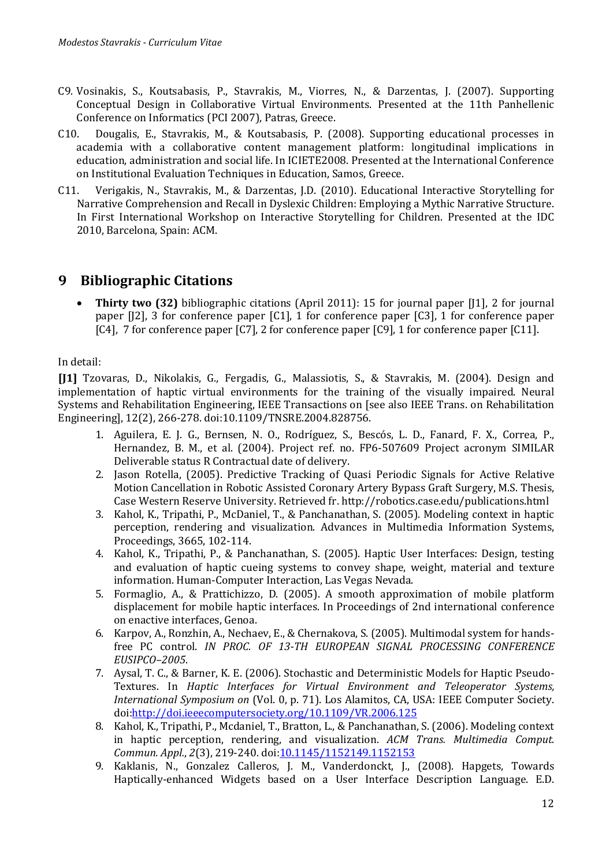- C9. Vosinakis, S., Koutsabasis, P., Stavrakis, M., Viorres, N., & Darzentas, J. (2007). Supporting Conceptual Design in Collaborative Virtual Environments. Presented at the 11th Panhellenic Conference on Informatics (PCI 2007), Patras, Greece.
- C10. Dougalis, E., Stavrakis, M., & Koutsabasis, P. (2008). Supporting educational processes in academia with a collaborative content management platform: longitudinal implications in education, administration and social life. In ICIETE2008. Presented at the International Conference on Institutional Evaluation Techniques in Education, Samos, Greece.
- C11. Verigakis, N., Stavrakis, M., & Darzentas, J.D. (2010). Educational Interactive Storytelling for Narrative Comprehension and Recall in Dyslexic Children: Employing a Mythic Narrative Structure. In First International Workshop on Interactive Storytelling for Children. Presented at the IDC 2010, Barcelona, Spain: ACM.

# <span id="page-11-0"></span>**9 Bibliographic Citations**

• **Thirty two (32)** bibliographic citations (April 2011): 15 for journal paper [J1], 2 for journal paper [J2], 3 for conference paper [C1], 1 for conference paper [C3], 1 for conference paper [C4], 7 for conference paper [C7], 2 for conference paper [C9], 1 for conference paper [C11].

In detail:

**[J1]** Tzovaras, D., Nikolakis, G., Fergadis, G., Malassiotis, S., & Stavrakis, M. (2004). Design and implementation of haptic virtual environments for the training of the visually impaired. Neural Systems and Rehabilitation Engineering, IEEE Transactions on [see also IEEE Trans. on Rehabilitation Engineering], 12(2), 266-278. doi:10.1109/TNSRE.2004.828756.

- 1. Aguilera, E. J. G., Bernsen, N. O., Rodríguez, S., Bescós, L. D., Fanard, F. X., Correa, P., Hernandez, B. M., et al. (2004). Project ref. no. FP6-507609 Project acronym SIMILAR Deliverable status R Contractual date of delivery.
- 2. Jason Rotella, (2005). Predictive Tracking of Quasi Periodic Signals for Active Relative Motion Cancellation in Robotic Assisted Coronary Artery Bypass Graft Surgery, M.S. Thesis, Case Western Reserve University. Retrieved fr.<http://robotics.case.edu/publications.html>
- 3. Kahol, K., Tripathi, P., McDaniel, T., & Panchanathan, S. (2005). Modeling context in haptic perception, rendering and visualization. Advances in Multimedia Information Systems, Proceedings, 3665, 102-114.
- 4. Kahol, K., Tripathi, P., & Panchanathan, S. (2005). Haptic User Interfaces: Design, testing and evaluation of haptic cueing systems to convey shape, weight, material and texture information. Human-Computer Interaction, Las Vegas Nevada.
- 5. Formaglio, A., & Prattichizzo, D. (2005). A smooth approximation of mobile platform displacement for mobile haptic interfaces. In Proceedings of 2nd international conference on enactive interfaces, Genoa.
- 6. Karpov, A., Ronzhin, A., Nechaev, E., & Chernakova, S. (2005). Multimodal system for handsfree PC control. *IN PROC. OF 13-TH EUROPEAN SIGNAL PROCESSING CONFERENCE EUSIPCO–2005*.
- 7. Aysal, T. C., & Barner, K. E. (2006). Stochastic and Deterministic Models for Haptic Pseudo-Textures. In *Haptic Interfaces for Virtual Environment and Teleoperator Systems, International Symposium on* (Vol. 0, p. 71). Los Alamitos, CA, USA: IEEE Computer Society. doi[:http://doi.ieeecomputersociety.org/10.1109/VR.2006.125](http://doi.ieeecomputersociety.org/10.1109/VR.2006.125)
- 8. Kahol, K., Tripathi, P., Mcdaniel, T., Bratton, L., & Panchanathan, S. (2006). Modeling context in haptic perception, rendering, and visualization. *ACM Trans. Multimedia Comput. Commun. Appl.*, *2*(3), 219-240. doi[:10.1145/1152149.1152153](http://dx.doi.org/10.1145/1152149.1152153)
- 9. Kaklanis, N., Gonzalez Calleros, J. M., Vanderdonckt, J., (2008). Hapgets, Towards Haptically-enhanced Widgets based on a User Interface Description Language. E.D.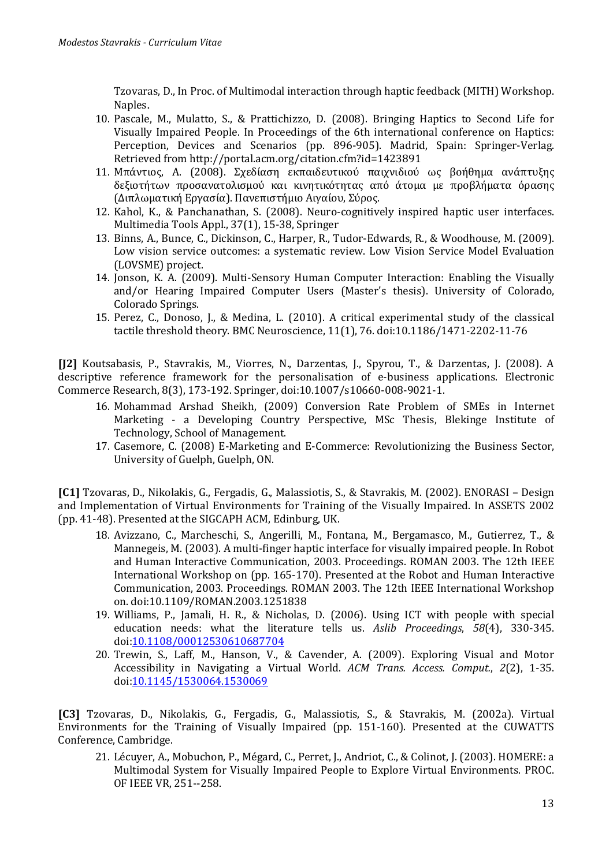Tzovaras, D., In Proc. of Multimodal interaction through haptic feedback (MITH) Workshop. Naples.

- 10. Pascale, M., Mulatto, S., & Prattichizzo, D. (2008). Bringing Haptics to Second Life for Visually Impaired People. In Proceedings of the 6th international conference on Haptics: Perception, Devices and Scenarios (pp. 896-905). Madrid, Spain: Springer-Verlag. Retrieved from<http://portal.acm.org/citation.cfm?id=1423891>
- 11. Μπάντιος, Α. (2008). Σχεδίαση εκπαιδευτικού παιχνιδιού ως βοήθημα ανάπτυξης δεξιοτήτων προσανατολισμού και κινητικότητας από άτομα με προβλήματα όρασης (Διπλωματική Εργασία). Πανεπιστήμιο Αιγαίου, Σύρος.
- 12. Kahol, K., & Panchanathan, S. (2008). Neuro-cognitively inspired haptic user interfaces. Multimedia Tools Appl., 37(1), 15-38, Springer
- 13. Binns, A., Bunce, C., Dickinson, C., Harper, R., Tudor-Edwards, R., & Woodhouse, M. (2009). Low vision service outcomes: a systematic review. Low Vision Service Model Evaluation (LOVSME) project.
- 14. Jonson, K. A. (2009). Multi-Sensory Human Computer Interaction: Enabling the Visually and/or Hearing Impaired Computer Users (Master's thesis). University of Colorado, Colorado Springs.
- 15. Perez, C., Donoso, J., & Medina, L. (2010). A critical experimental study of the classical tactile threshold theory. BMC Neuroscience, 11(1), 76. doi[:10.1186/1471-2202-11-76](http://dx.doi.org/10.1186/1471-2202-11-76)

**[J2]** Koutsabasis, P., Stavrakis, M., Viorres, N., Darzentas, J., Spyrou, T., & Darzentas, J. (2008). A descriptive reference framework for the personalisation of e-business applications. Electronic Commerce Research, 8(3), 173-192. Springer, doi:10.1007/s10660-008-9021-1.

- 16. Mohammad Arshad Sheikh, (2009) Conversion Rate Problem of SMEs in Internet Marketing - a Developing Country Perspective, MSc Thesis, Blekinge Institute of Technology, School of Management.
- 17. Casemore, C. (2008) E-Marketing and E-Commerce: Revolutionizing the Business Sector, University of Guelph, Guelph, ON.

**[C1]** Tzovaras, D., Nikolakis, G., Fergadis, G., Malassiotis, S., & Stavrakis, M. (2002). ENORASI – Design and Implementation of Virtual Environments for Training of the Visually Impaired. In ASSETS 2002 (pp. 41-48). Presented at the SIGCAPH ACM, Edinburg, UK.

- 18. Avizzano, C., Marcheschi, S., Angerilli, M., Fontana, M., Bergamasco, M., Gutierrez, T., & Mannegeis, M. (2003). A multi-finger haptic interface for visually impaired people. In Robot and Human Interactive Communication, 2003. Proceedings. ROMAN 2003. The 12th IEEE International Workshop on (pp. 165-170). Presented at the Robot and Human Interactive Communication, 2003. Proceedings. ROMAN 2003. The 12th IEEE International Workshop on. doi[:10.1109/ROMAN.2003.1251838](http://dx.doi.org/10.1109/ROMAN.2003.1251838)
- 19. Williams, P., Jamali, H. R., & Nicholas, D. (2006). Using ICT with people with special education needs: what the literature tells us. *Aslib Proceedings*, *58*(4), 330-345. doi[:10.1108/00012530610687704](http://dx.doi.org/10.1108/00012530610687704)
- 20. Trewin, S., Laff, M., Hanson, V., & Cavender, A. (2009). Exploring Visual and Motor Accessibility in Navigating a Virtual World. *ACM Trans. Access. Comput.*, *2*(2), 1-35. doi[:10.1145/1530064.1530069](http://dx.doi.org/10.1145/1530064.1530069)

**[C3]** Tzovaras, D., Nikolakis, G., Fergadis, G., Malassiotis, S., & Stavrakis, M. (2002a). Virtual Environments for the Training of Visually Impaired (pp. 151-160). Presented at the CUWATTS Conference, Cambridge.

21. Lécuyer, A., Mobuchon, P., Mégard, C., Perret, J., Andriot, C., & Colinot, J. (2003). HOMERE: a Multimodal System for Visually Impaired People to Explore Virtual Environments. PROC. OF IEEE VR, 251--258.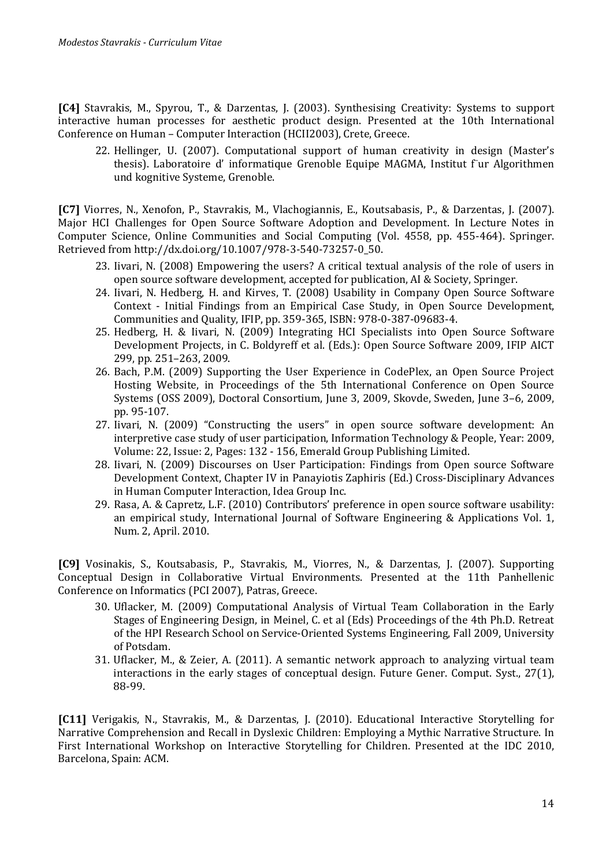**[C4]** Stavrakis, M., Spyrou, T., & Darzentas, J. (2003). Synthesising Creativity: Systems to support interactive human processes for aesthetic product design. Presented at the 10th International Conference on Human – Computer Interaction (HCII2003), Crete, Greece.

22. Hellinger, U. (2007). Computational support of human creativity in design (Master's thesis). Laboratoire d' informatique Grenoble Equipe MAGMA, Institut f'ur Algorithmen und kognitive Systeme, Grenoble.

**[C7]** Viorres, N., Xenofon, P., Stavrakis, M., Vlachogiannis, E., Koutsabasis, P., & Darzentas, J. (2007). Major HCI Challenges for Open Source Software Adoption and Development. In Lecture Notes in Computer Science, Online Communities and Social Computing (Vol. 4558, pp. 455-464). Springer. Retrieved from http://dx.doi.org/10.1007/978-3-540-73257-0\_50.

- 23. Iivari, N. (2008) Empowering the users? A critical textual analysis of the role of users in open source software development, accepted for publication, AI & Society, Springer.
- 24. Iivari, N. Hedberg, H. and Kirves, T. (2008) Usability in Company Open Source Software Context - Initial Findings from an Empirical Case Study, in Open Source Development, Communities and Quality, IFIP, pp. 359-365, ISBN: 978-0-387-09683-4.
- 25. Hedberg, H. & Iivari, N. (2009) Integrating HCI Specialists into Open Source Software Development Projects, in C. Boldyreff et al. (Eds.): Open Source Software 2009, IFIP AICT 299, pp. 251–263, 2009.
- 26. Bach, P.M. (2009) Supporting the User Experience in CodePlex, an Open Source Project Hosting Website, in Proceedings of the 5th International Conference on Open Source Systems (OSS 2009), Doctoral Consortium, June 3, 2009, Skovde, Sweden, June 3–6, 2009, pp. 95-107.
- 27. Iivari, Ν. (2009) "Constructing the users" in open source software development: An interpretive case study of user participation, Information Technology & People, Year: 2009, Volume: 22, Issue: 2, Pages: 132 - 156, Emerald Group Publishing Limited.
- 28. Iivari, N. (2009) Discourses on User Participation: Findings from Open source Software Development Context, Chapter IV in Panayiotis Zaphiris (Ed.) Cross-Disciplinary Advances in Human Computer Interaction, Idea Group Inc.
- 29. Rasa, A. & Capretz, L.F. (2010) Contributors' preference in open source software usability: an empirical study, International Journal of Software Engineering & Applications Vol. 1, Num. 2, April. 2010.

**[C9]** Vosinakis, S., Koutsabasis, P., Stavrakis, M., Viorres, N., & Darzentas, J. (2007). Supporting Conceptual Design in Collaborative Virtual Environments. Presented at the 11th Panhellenic Conference on Informatics (PCI 2007), Patras, Greece.

- 30. Uflacker, M. (2009) Computational Analysis of Virtual Team Collaboration in the Early Stages of Engineering Design, in Meinel, C. et al (Eds) Proceedings of the 4th Ph.D. Retreat of the HPI Research School on Service-Oriented Systems Engineering, Fall 2009, University of Potsdam.
- 31. Uflacker, M., & Zeier, A. (2011). A semantic network approach to analyzing virtual team interactions in the early stages of conceptual design. Future Gener. Comput. Syst., 27(1), 88-99.

**[C11]** Verigakis, N., Stavrakis, M., & Darzentas, J. (2010). Educational Interactive Storytelling for Narrative Comprehension and Recall in Dyslexic Children: Employing a Mythic Narrative Structure. In First International Workshop on Interactive Storytelling for Children. Presented at the IDC 2010, Barcelona, Spain: ACM.